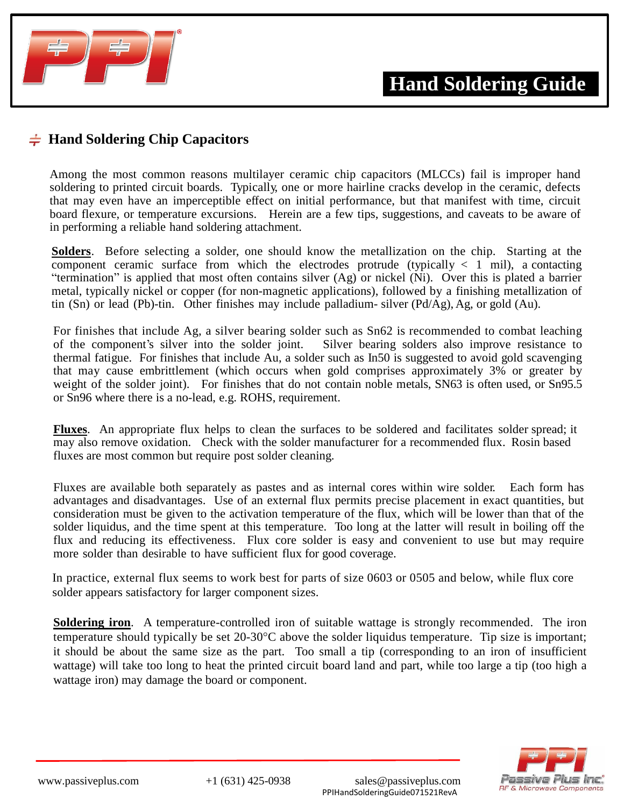

## $\frac{1}{\sqrt{2}}$  **Hand Soldering Chip Capacitors**

Among the most common reasons multilayer ceramic chip capacitors (MLCCs) fail is improper hand soldering to printed circuit boards. Typically, one or more hairline cracks develop in the ceramic, defects that may even have an imperceptible effect on initial performance, but that manifest with time, circuit board flexure, or temperature excursions. Herein are a few tips, suggestions, and caveats to be aware of in performing a reliable hand soldering attachment.

**Solders**. Before selecting a solder, one should know the metallization on the chip. Starting at the component ceramic surface from which the electrodes protrude (typically  $\langle 1 \text{ mil} \rangle$ , a contacting "termination" is applied that most often contains silver (Ag) or nickel (Ni). Over this is plated a barrier metal, typically nickel or copper (for non-magnetic applications), followed by a finishing metallization of tin (Sn) or lead (Pb)-tin. Other finishes may include palladium- silver (Pd/Ag), Ag, or gold (Au).

For finishes that include Ag, a silver bearing solder such as Sn62 is recommended to combat leaching of the component's silver into the solder joint. Silver bearing solders also improve resistance to thermal fatigue. For finishes that include Au, a solder such as In50 is suggested to avoid gold scavenging that may cause embrittlement (which occurs when gold comprises approximately 3% or greater by weight of the solder joint). For finishes that do not contain noble metals, SN63 is often used, or Sn95.5 or Sn96 where there is a no-lead, e.g. ROHS, requirement.

**Fluxes**. An appropriate flux helps to clean the surfaces to be soldered and facilitates solder spread; it may also remove oxidation. Check with the solder manufacturer for a recommended flux. Rosin based fluxes are most common but require post solder cleaning.

Fluxes are available both separately as pastes and as internal cores within wire solder. Each form has advantages and disadvantages. Use of an external flux permits precise placement in exact quantities, but consideration must be given to the activation temperature of the flux, which will be lower than that of the solder liquidus, and the time spent at this temperature. Too long at the latter will result in boiling off the flux and reducing its effectiveness. Flux core solder is easy and convenient to use but may require more solder than desirable to have sufficient flux for good coverage.

In practice, external flux seems to work best for parts of size 0603 or 0505 and below, while flux core solder appears satisfactory for larger component sizes.

**Soldering iron**. A temperature-controlled iron of suitable wattage is strongly recommended. The iron temperature should typically be set 20-30°C above the solder liquidus temperature. Tip size is important; it should be about the same size as the part. Too small a tip (corresponding to an iron of insufficient wattage) will take too long to heat the printed circuit board land and part, while too large a tip (too high a wattage iron) may damage the board or component.

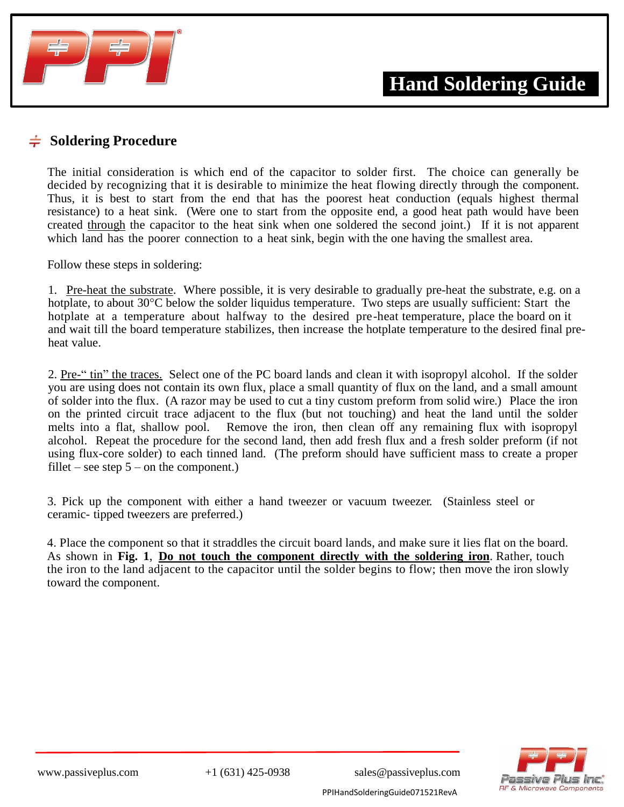

## $\frac{1}{2}$  **Soldering Procedure**

The initial consideration is which end of the capacitor to solder first. The choice can generally be decided by recognizing that it is desirable to minimize the heat flowing directly through the component. Thus, it is best to start from the end that has the poorest heat conduction (equals highest thermal resistance) to a heat sink. (Were one to start from the opposite end, a good heat path would have been created through the capacitor to the heat sink when one soldered the second joint.) If it is not apparent which land has the poorer connection to a heat sink, begin with the one having the smallest area.

Follow these steps in soldering:

1. Pre-heat the substrate. Where possible, it is very desirable to gradually pre-heat the substrate, e.g. on a hotplate, to about 30°C below the solder liquidus temperature. Two steps are usually sufficient: Start the hotplate at a temperature about halfway to the desired pre-heat temperature, place the board on it and wait till the board temperature stabilizes, then increase the hotplate temperature to the desired final preheat value.

2. Pre-" tin" the traces. Select one of the PC board lands and clean it with isopropyl alcohol. If the solder you are using does not contain its own flux, place a small quantity of flux on the land, and a small amount of solder into the flux. (A razor may be used to cut a tiny custom preform from solid wire.) Place the iron on the printed circuit trace adjacent to the flux (but not touching) and heat the land until the solder melts into a flat, shallow pool. Remove the iron, then clean off any remaining flux with isopropyl alcohol. Repeat the procedure for the second land, then add fresh flux and a fresh solder preform (if not using flux-core solder) to each tinned land. (The preform should have sufficient mass to create a proper fillet – see step  $5$  – on the component.)

3. Pick up the component with either a hand tweezer or vacuum tweezer. (Stainless steel or ceramic- tipped tweezers are preferred.)

4. Place the component so that it straddles the circuit board lands, and make sure it lies flat on the board. As shown in **Fig. 1**, **Do not touch the component directly with the soldering iron**. Rather, touch the iron to the land adjacent to the capacitor until the solder begins to flow; then move the iron slowly toward the component.

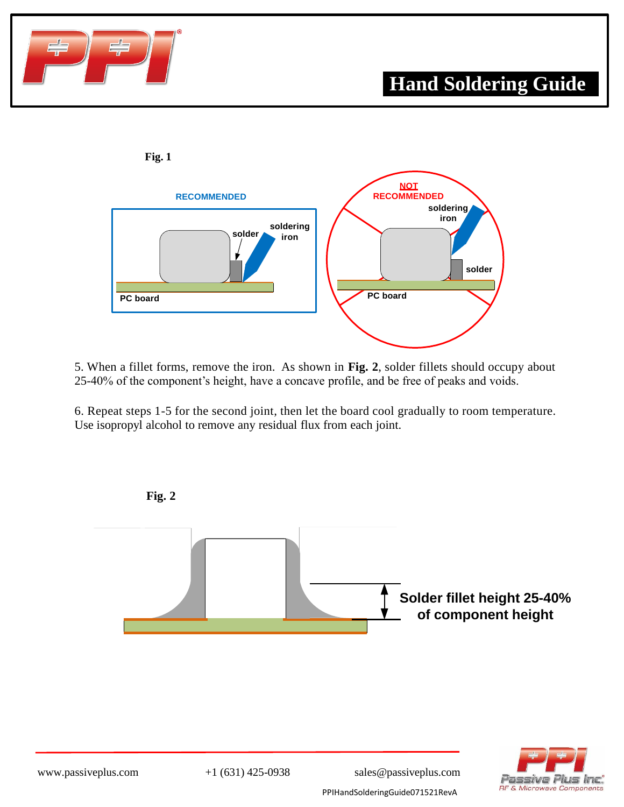



5. When a fillet forms, remove the iron. As shown in **Fig. 2**, solder fillets should occupy about 25-40% of the component's height, have a concave profile, and be free of peaks and voids.

6. Repeat steps 1-5 for the second joint, then let the board cool gradually to room temperature. Use isopropyl alcohol to remove any residual flux from each joint.



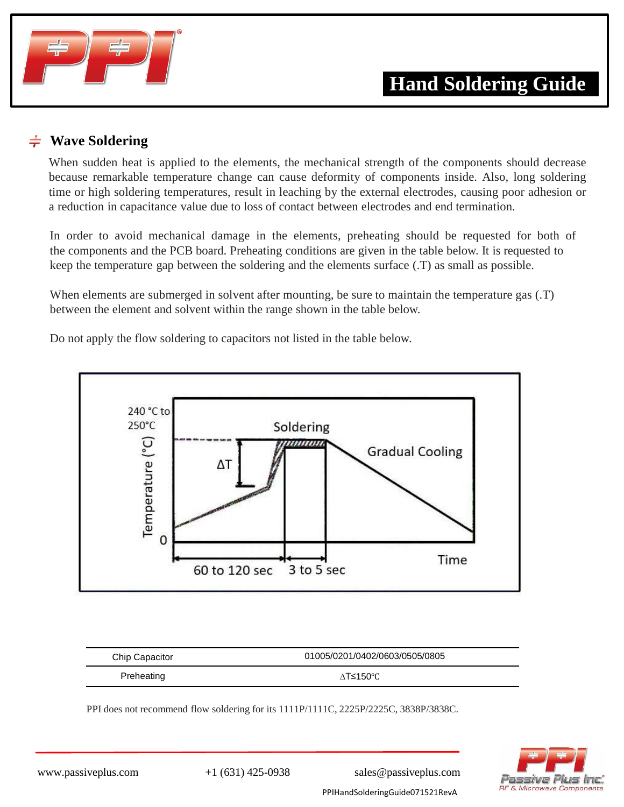

## **Wave Soldering**

When sudden heat is applied to the elements, the mechanical strength of the components should decrease because remarkable temperature change can cause deformity of components inside. Also, long soldering time or high soldering temperatures, result in leaching by the external electrodes, causing poor adhesion or a reduction in capacitance value due to loss of contact between electrodes and end termination.

In order to avoid mechanical damage in the elements, preheating should be requested for both of the components and the PCB board. Preheating conditions are given in the table below. It is requested to keep the temperature gap between the soldering and the elements surface (.T) as small as possible.

When elements are submerged in solvent after mounting, be sure to maintain the temperature gas  $(T)$ between the element and solvent within the range shown in the table below.

Do not apply the flow soldering to capacitors not listed in the table below.



| <b>Chip Capacitor</b> | 01005/0201/0402/0603/0505/0805 |
|-----------------------|--------------------------------|
| Preheating            | ∧T≤150°C                       |

PPI does not recommend flow soldering for its 1111P/1111C, 2225P/2225C, 3838P/3838C.



www.passiveplus.com +1 (631) 425-0938 sales@passiveplus.com PPIHandSolderingGuide071521RevA